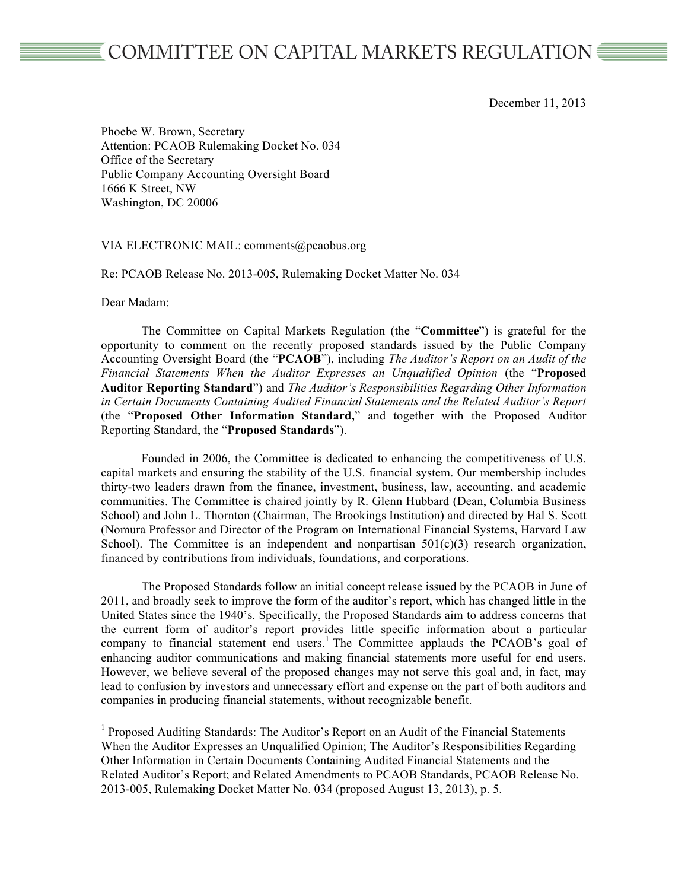## COMMITTEE ON CAPITAL MARKETS REGULATION

December 11, 2013

Phoebe W. Brown, Secretary Attention: PCAOB Rulemaking Docket No. 034 Office of the Secretary Public Company Accounting Oversight Board 1666 K Street, NW Washington, DC 20006

VIA ELECTRONIC MAIL: comments@pcaobus.org

Re: PCAOB Release No. 2013-005, Rulemaking Docket Matter No. 034

Dear Madam:

The Committee on Capital Markets Regulation (the "**Committee**") is grateful for the opportunity to comment on the recently proposed standards issued by the Public Company Accounting Oversight Board (the "**PCAOB**"), including *The Auditor's Report on an Audit of the Financial Statements When the Auditor Expresses an Unqualified Opinion* (the "**Proposed Auditor Reporting Standard**") and *The Auditor's Responsibilities Regarding Other Information in Certain Documents Containing Audited Financial Statements and the Related Auditor's Report* (the "**Proposed Other Information Standard,**" and together with the Proposed Auditor Reporting Standard, the "**Proposed Standards**").

Founded in 2006, the Committee is dedicated to enhancing the competitiveness of U.S. capital markets and ensuring the stability of the U.S. financial system. Our membership includes thirty-two leaders drawn from the finance, investment, business, law, accounting, and academic communities. The Committee is chaired jointly by R. Glenn Hubbard (Dean, Columbia Business School) and John L. Thornton (Chairman, The Brookings Institution) and directed by Hal S. Scott (Nomura Professor and Director of the Program on International Financial Systems, Harvard Law School). The Committee is an independent and nonpartisan  $501(c)(3)$  research organization, financed by contributions from individuals, foundations, and corporations.

The Proposed Standards follow an initial concept release issued by the PCAOB in June of 2011, and broadly seek to improve the form of the auditor's report, which has changed little in the United States since the 1940's. Specifically, the Proposed Standards aim to address concerns that the current form of auditor's report provides little specific information about a particular company to financial statement end users.<sup>1</sup> The Committee applauds the PCAOB's goal of enhancing auditor communications and making financial statements more useful for end users. However, we believe several of the proposed changes may not serve this goal and, in fact, may lead to confusion by investors and unnecessary effort and expense on the part of both auditors and companies in producing financial statements, without recognizable benefit.

 $<sup>1</sup>$  Proposed Auditing Standards: The Auditor's Report on an Audit of the Financial Statements</sup> When the Auditor Expresses an Unqualified Opinion; The Auditor's Responsibilities Regarding Other Information in Certain Documents Containing Audited Financial Statements and the Related Auditor's Report; and Related Amendments to PCAOB Standards, PCAOB Release No. 2013-005, Rulemaking Docket Matter No. 034 (proposed August 13, 2013), p. 5.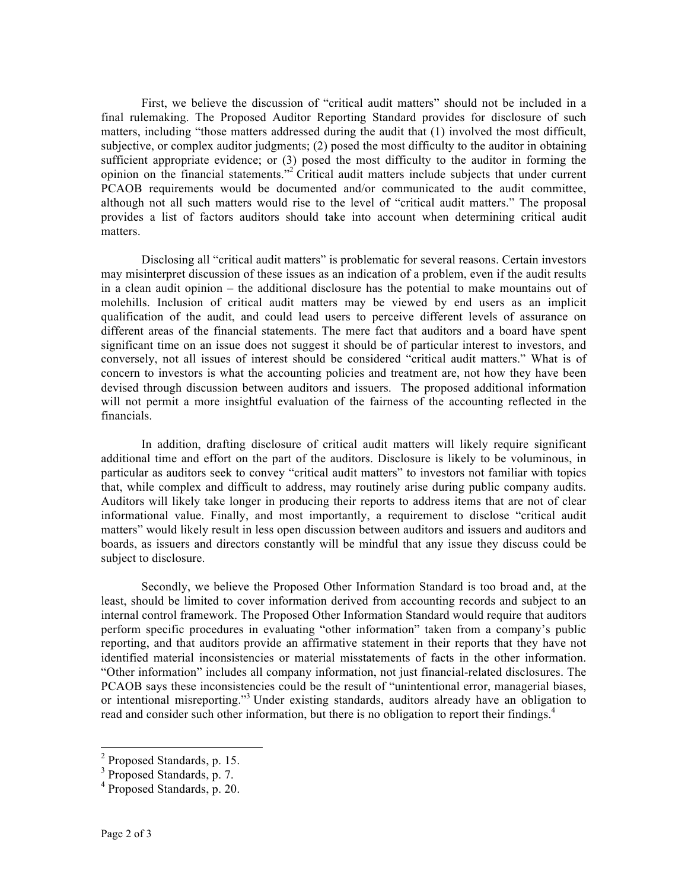First, we believe the discussion of "critical audit matters" should not be included in a final rulemaking. The Proposed Auditor Reporting Standard provides for disclosure of such matters, including "those matters addressed during the audit that (1) involved the most difficult, subjective, or complex auditor judgments; (2) posed the most difficulty to the auditor in obtaining sufficient appropriate evidence; or (3) posed the most difficulty to the auditor in forming the opinion on the financial statements."<sup>2</sup> Critical audit matters include subjects that under current PCAOB requirements would be documented and/or communicated to the audit committee, although not all such matters would rise to the level of "critical audit matters." The proposal provides a list of factors auditors should take into account when determining critical audit matters.

Disclosing all "critical audit matters" is problematic for several reasons. Certain investors may misinterpret discussion of these issues as an indication of a problem, even if the audit results in a clean audit opinion – the additional disclosure has the potential to make mountains out of molehills. Inclusion of critical audit matters may be viewed by end users as an implicit qualification of the audit, and could lead users to perceive different levels of assurance on different areas of the financial statements. The mere fact that auditors and a board have spent significant time on an issue does not suggest it should be of particular interest to investors, and conversely, not all issues of interest should be considered "critical audit matters." What is of concern to investors is what the accounting policies and treatment are, not how they have been devised through discussion between auditors and issuers. The proposed additional information will not permit a more insightful evaluation of the fairness of the accounting reflected in the financials.

In addition, drafting disclosure of critical audit matters will likely require significant additional time and effort on the part of the auditors. Disclosure is likely to be voluminous, in particular as auditors seek to convey "critical audit matters" to investors not familiar with topics that, while complex and difficult to address, may routinely arise during public company audits. Auditors will likely take longer in producing their reports to address items that are not of clear informational value. Finally, and most importantly, a requirement to disclose "critical audit matters" would likely result in less open discussion between auditors and issuers and auditors and boards, as issuers and directors constantly will be mindful that any issue they discuss could be subject to disclosure.

Secondly, we believe the Proposed Other Information Standard is too broad and, at the least, should be limited to cover information derived from accounting records and subject to an internal control framework. The Proposed Other Information Standard would require that auditors perform specific procedures in evaluating "other information" taken from a company's public reporting, and that auditors provide an affirmative statement in their reports that they have not identified material inconsistencies or material misstatements of facts in the other information. "Other information" includes all company information, not just financial-related disclosures. The PCAOB says these inconsistencies could be the result of "unintentional error, managerial biases, or intentional misreporting."3 Under existing standards, auditors already have an obligation to read and consider such other information, but there is no obligation to report their findings.<sup>4</sup>

 <sup>2</sup> Proposed Standards, p. 15.

<sup>&</sup>lt;sup>3</sup> Proposed Standards, p. 7.

<sup>4</sup> Proposed Standards, p. 20.